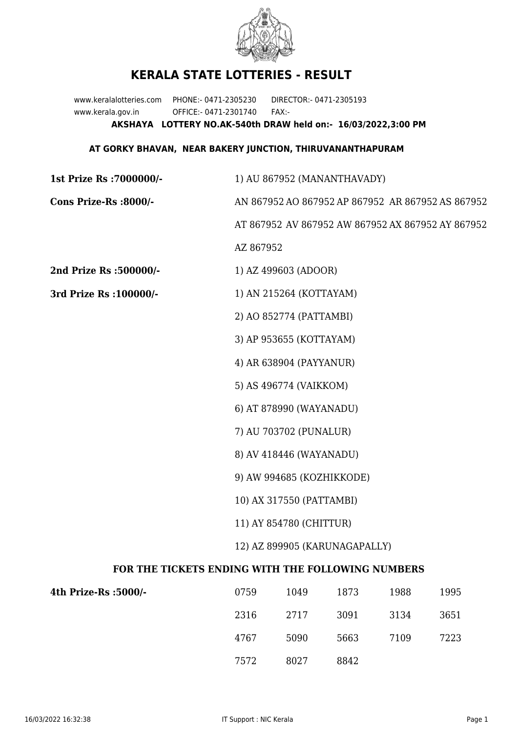

## **KERALA STATE LOTTERIES - RESULT**

www.keralalotteries.com PHONE:- 0471-2305230 DIRECTOR:- 0471-2305193 www.kerala.gov.in OFFICE:- 0471-2301740 FAX:- **AKSHAYA LOTTERY NO.AK-540th DRAW held on:- 16/03/2022,3:00 PM**

## **AT GORKY BHAVAN, NEAR BAKERY JUNCTION, THIRUVANANTHAPURAM**

| 1st Prize Rs : 7000000/-                          |                                                          |                      | 1) AU 867952 (MANANTHAVADY) |      |                                                   |  |  |
|---------------------------------------------------|----------------------------------------------------------|----------------------|-----------------------------|------|---------------------------------------------------|--|--|
| Cons Prize-Rs :8000/-                             |                                                          |                      |                             |      | AN 867952 AO 867952 AP 867952 AR 867952 AS 867952 |  |  |
|                                                   | AT 867952 AV 867952 AW 867952 AX 867952 AY 867952        |                      |                             |      |                                                   |  |  |
|                                                   | AZ 867952                                                |                      |                             |      |                                                   |  |  |
| 2nd Prize Rs :500000/-                            |                                                          | 1) AZ 499603 (ADOOR) |                             |      |                                                   |  |  |
| 3rd Prize Rs : 100000/-                           | 1) AN 215264 (KOTTAYAM)                                  |                      |                             |      |                                                   |  |  |
|                                                   | 2) AO 852774 (PATTAMBI)                                  |                      |                             |      |                                                   |  |  |
|                                                   | 3) AP 953655 (KOTTAYAM)                                  |                      |                             |      |                                                   |  |  |
|                                                   | 4) AR 638904 (PAYYANUR)                                  |                      |                             |      |                                                   |  |  |
|                                                   | 5) AS 496774 (VAIKKOM)                                   |                      |                             |      |                                                   |  |  |
|                                                   | 6) AT 878990 (WAYANADU)                                  |                      |                             |      |                                                   |  |  |
|                                                   | 7) AU 703702 (PUNALUR)                                   |                      |                             |      |                                                   |  |  |
|                                                   | 8) AV 418446 (WAYANADU)                                  |                      |                             |      |                                                   |  |  |
|                                                   | 9) AW 994685 (KOZHIKKODE)                                |                      |                             |      |                                                   |  |  |
|                                                   | 10) AX 317550 (PATTAMBI)                                 |                      |                             |      |                                                   |  |  |
|                                                   | 11) AY 854780 (CHITTUR)<br>12) AZ 899905 (KARUNAGAPALLY) |                      |                             |      |                                                   |  |  |
|                                                   |                                                          |                      |                             |      |                                                   |  |  |
| FOR THE TICKETS ENDING WITH THE FOLLOWING NUMBERS |                                                          |                      |                             |      |                                                   |  |  |
| 4th Prize-Rs : 5000/-                             | 0759                                                     | 1049                 | 1873                        | 1988 | 1995                                              |  |  |
|                                                   | 2316                                                     | 2717                 | 3091                        | 3134 | 3651                                              |  |  |

7572 8027 8842

4767 5090 5663 7109 7223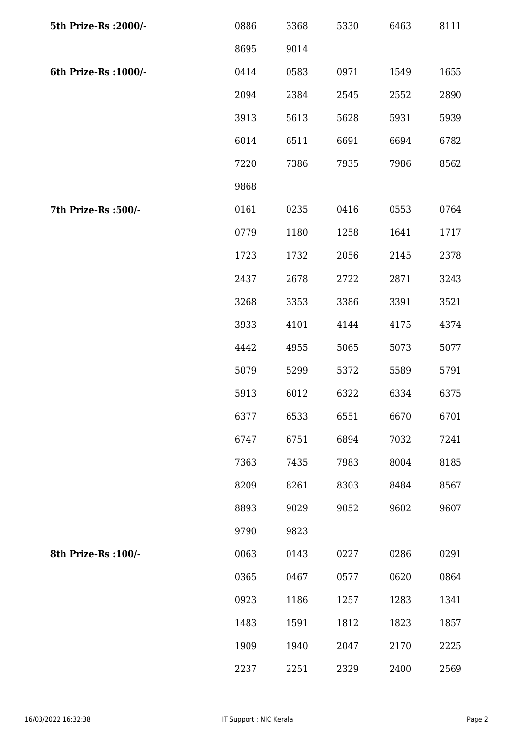| 5th Prize-Rs : 2000/- | 0886 | 3368 | 5330 | 6463 | 8111 |
|-----------------------|------|------|------|------|------|
|                       | 8695 | 9014 |      |      |      |
| 6th Prize-Rs : 1000/- | 0414 | 0583 | 0971 | 1549 | 1655 |
|                       | 2094 | 2384 | 2545 | 2552 | 2890 |
|                       | 3913 | 5613 | 5628 | 5931 | 5939 |
|                       | 6014 | 6511 | 6691 | 6694 | 6782 |
|                       | 7220 | 7386 | 7935 | 7986 | 8562 |
|                       | 9868 |      |      |      |      |
| 7th Prize-Rs : 500/-  | 0161 | 0235 | 0416 | 0553 | 0764 |
|                       | 0779 | 1180 | 1258 | 1641 | 1717 |
|                       | 1723 | 1732 | 2056 | 2145 | 2378 |
|                       | 2437 | 2678 | 2722 | 2871 | 3243 |
|                       | 3268 | 3353 | 3386 | 3391 | 3521 |
|                       | 3933 | 4101 | 4144 | 4175 | 4374 |
|                       | 4442 | 4955 | 5065 | 5073 | 5077 |
|                       | 5079 | 5299 | 5372 | 5589 | 5791 |
|                       | 5913 | 6012 | 6322 | 6334 | 6375 |
|                       | 6377 | 6533 | 6551 | 6670 | 6701 |
|                       | 6747 | 6751 | 6894 | 7032 | 7241 |
|                       | 7363 | 7435 | 7983 | 8004 | 8185 |
|                       | 8209 | 8261 | 8303 | 8484 | 8567 |
|                       | 8893 | 9029 | 9052 | 9602 | 9607 |
|                       | 9790 | 9823 |      |      |      |
| 8th Prize-Rs : 100/-  | 0063 | 0143 | 0227 | 0286 | 0291 |
|                       | 0365 | 0467 | 0577 | 0620 | 0864 |
|                       | 0923 | 1186 | 1257 | 1283 | 1341 |
|                       | 1483 | 1591 | 1812 | 1823 | 1857 |
|                       | 1909 | 1940 | 2047 | 2170 | 2225 |
|                       | 2237 | 2251 | 2329 | 2400 | 2569 |